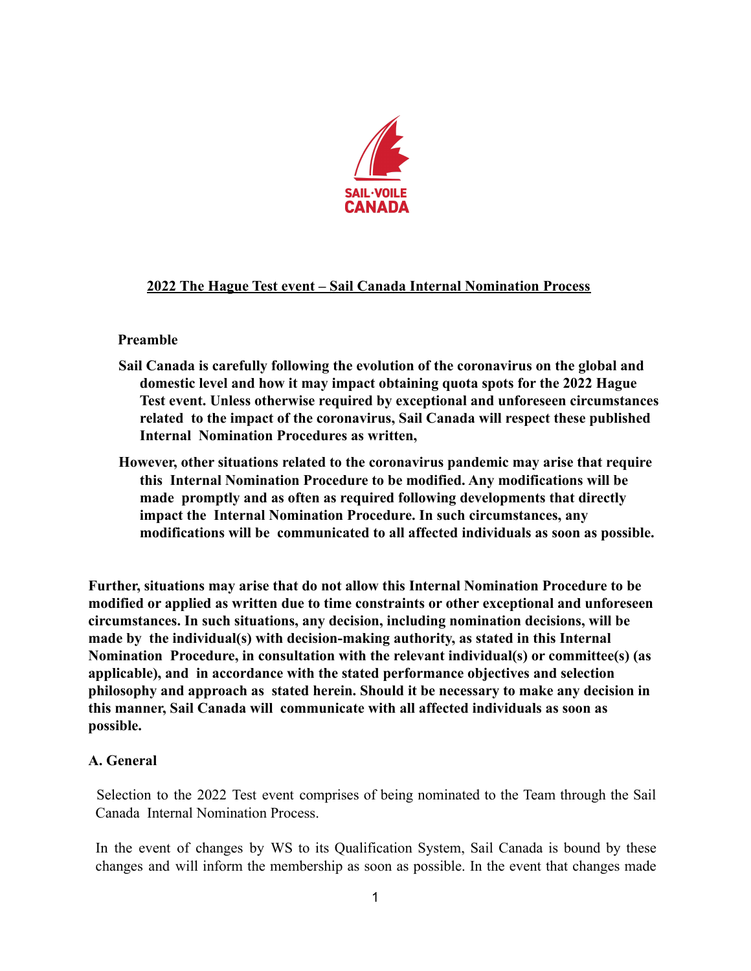

## **2022 The Hague Test event – Sail Canada Internal Nomination Process**

## **Preamble**

- **Sail Canada is carefully following the evolution of the coronavirus on the global and domestic level and how it may impact obtaining quota spots for the 2022 Hague Test event. Unless otherwise required by exceptional and unforeseen circumstances related to the impact of the coronavirus, Sail Canada will respect these published Internal Nomination Procedures as written,**
- **However, other situations related to the coronavirus pandemic may arise that require this Internal Nomination Procedure to be modified. Any modifications will be made promptly and as often as required following developments that directly impact the Internal Nomination Procedure. In such circumstances, any modifications will be communicated to all affected individuals as soon as possible.**

**Further, situations may arise that do not allow this Internal Nomination Procedure to be modified or applied as written due to time constraints or other exceptional and unforeseen circumstances. In such situations, any decision, including nomination decisions, will be made by the individual(s) with decision-making authority, as stated in this Internal Nomination Procedure, in consultation with the relevant individual(s) or committee(s) (as applicable), and in accordance with the stated performance objectives and selection philosophy and approach as stated herein. Should it be necessary to make any decision in this manner, Sail Canada will communicate with all affected individuals as soon as possible.**

## **A. General**

Selection to the 2022 Test event comprises of being nominated to the Team through the Sail Canada Internal Nomination Process.

In the event of changes by WS to its Qualification System, Sail Canada is bound by these changes and will inform the membership as soon as possible. In the event that changes made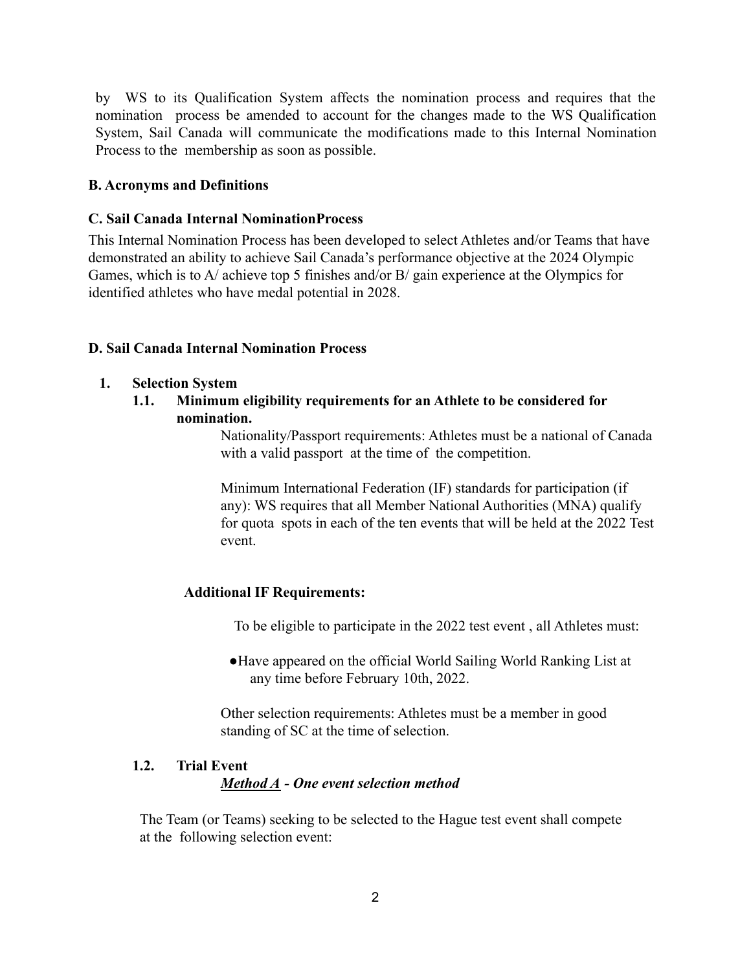by WS to its Qualification System affects the nomination process and requires that the nomination process be amended to account for the changes made to the WS Qualification System, Sail Canada will communicate the modifications made to this Internal Nomination Process to the membership as soon as possible.

### **B. Acronyms and Definitions**

### **C. Sail Canada Internal NominationProcess**

This Internal Nomination Process has been developed to select Athletes and/or Teams that have demonstrated an ability to achieve Sail Canada's performance objective at the 2024 Olympic Games, which is to A/ achieve top 5 finishes and/or B/ gain experience at the Olympics for identified athletes who have medal potential in 2028.

## **D. Sail Canada Internal Nomination Process**

- **1. Selection System**
	- **1.1. Minimum eligibility requirements for an Athlete to be considered for nomination.**

Nationality/Passport requirements: Athletes must be a national of Canada with a valid passport at the time of the competition.

Minimum International Federation (IF) standards for participation (if any): WS requires that all Member National Authorities (MNA) qualify for quota spots in each of the ten events that will be held at the 2022 Test event.

### **Additional IF Requirements:**

To be eligible to participate in the 2022 test event , all Athletes must:

●Have appeared on the official World Sailing World Ranking List at any time before February 10th, 2022.

Other selection requirements: Athletes must be a member in good standing of SC at the time of selection.

## **1.2. Trial Event** *Method A - One event selection method*

The Team (or Teams) seeking to be selected to the Hague test event shall compete at the following selection event: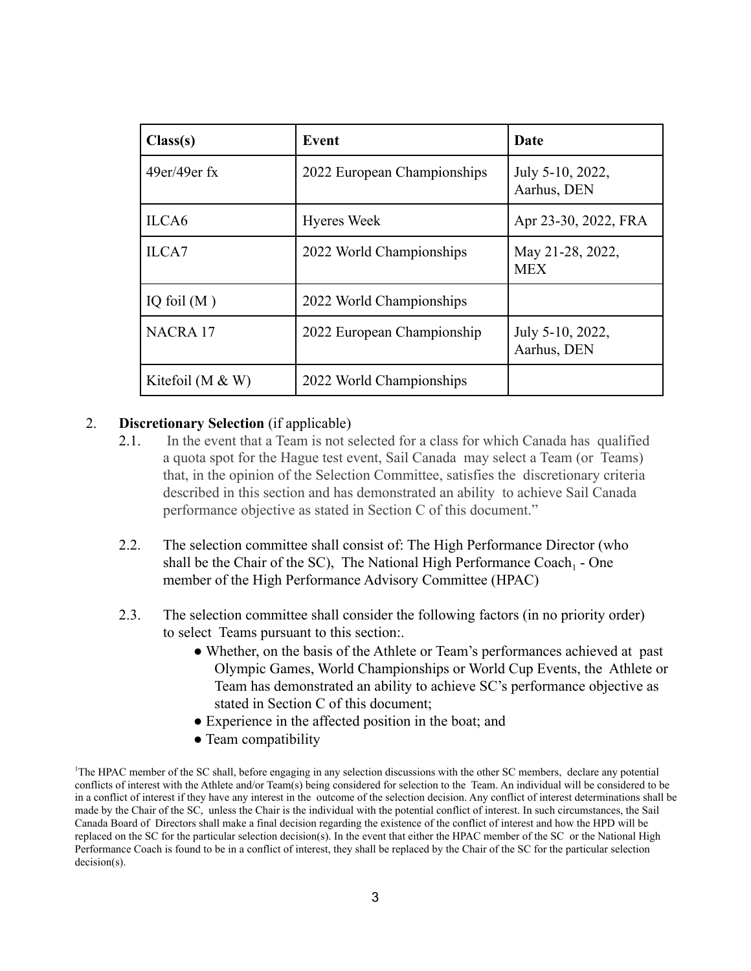| Class(s)           | Event                       | Date                            |
|--------------------|-----------------------------|---------------------------------|
| $49er/49er$ fx     | 2022 European Championships | July 5-10, 2022,<br>Aarhus, DEN |
| ILCA6              | <b>Hyeres Week</b>          | Apr 23-30, 2022, FRA            |
| ILCA7              | 2022 World Championships    | May 21-28, 2022,<br><b>MEX</b>  |
| IQ foil $(M)$      | 2022 World Championships    |                                 |
| <b>NACRA17</b>     | 2022 European Championship  | July 5-10, 2022,<br>Aarhus, DEN |
| Kitefoil (M $&$ W) | 2022 World Championships    |                                 |

#### 2. **Discretionary Selection** (if applicable)

- 2.1. In the event that a Team is not selected for a class for which Canada has qualified a quota spot for the Hague test event, Sail Canada may select a Team (or Teams) that, in the opinion of the Selection Committee, satisfies the discretionary criteria described in this section and has demonstrated an ability to achieve Sail Canada performance objective as stated in Section C of this document."
- 2.2. The selection committee shall consist of: The High Performance Director (who shall be the Chair of the SC). The National High Performance Coach<sub>1</sub> - One member of the High Performance Advisory Committee (HPAC)
- 2.3. The selection committee shall consider the following factors (in no priority order) to select Teams pursuant to this section:.
	- Whether, on the basis of the Athlete or Team's performances achieved at past Olympic Games, World Championships or World Cup Events, the Athlete or Team has demonstrated an ability to achieve SC's performance objective as stated in Section C of this document;
	- Experience in the affected position in the boat; and
	- Team compatibility

<sup>1</sup>The HPAC member of the SC shall, before engaging in any selection discussions with the other SC members, declare any potential conflicts of interest with the Athlete and/or Team(s) being considered for selection to the Team. An individual will be considered to be in a conflict of interest if they have any interest in the outcome of the selection decision. Any conflict of interest determinations shall be made by the Chair of the SC, unless the Chair is the individual with the potential conflict of interest. In such circumstances, the Sail Canada Board of Directors shall make a final decision regarding the existence of the conflict of interest and how the HPD will be replaced on the SC for the particular selection decision(s). In the event that either the HPAC member of the SC or the National High Performance Coach is found to be in a conflict of interest, they shall be replaced by the Chair of the SC for the particular selection decision(s).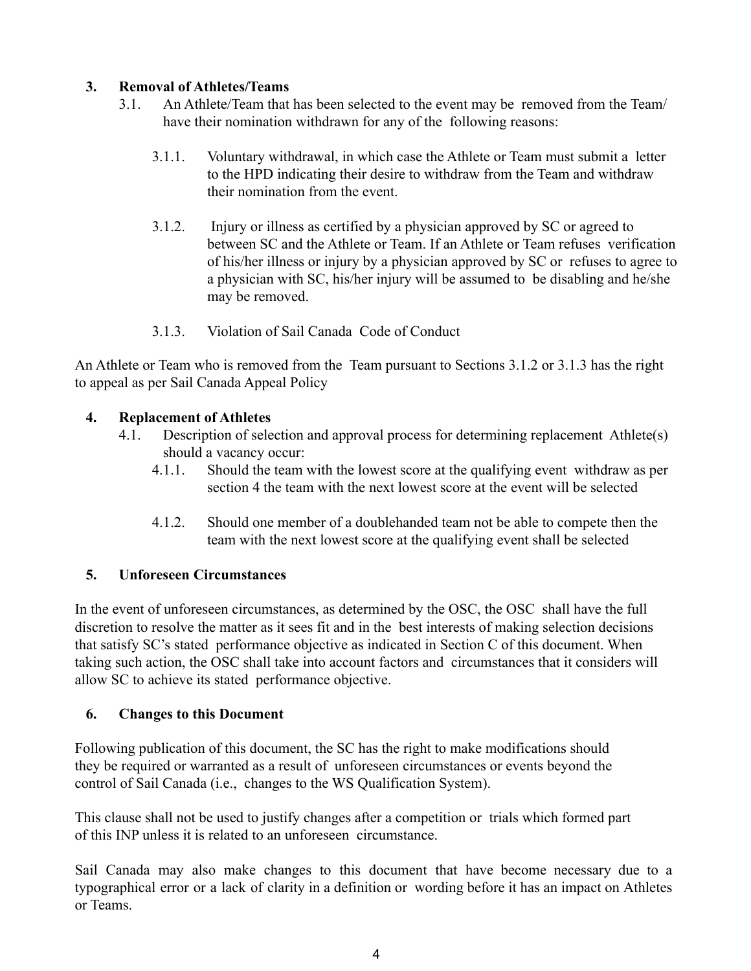## **3. Removal of Athletes/Teams**

- 3.1. An Athlete/Team that has been selected to the event may be removed from the Team/ have their nomination withdrawn for any of the following reasons:
	- 3.1.1. Voluntary withdrawal, in which case the Athlete or Team must submit a letter to the HPD indicating their desire to withdraw from the Team and withdraw their nomination from the event.
	- 3.1.2. Injury or illness as certified by a physician approved by SC or agreed to between SC and the Athlete or Team. If an Athlete or Team refuses verification of his/her illness or injury by a physician approved by SC or refuses to agree to a physician with SC, his/her injury will be assumed to be disabling and he/she may be removed.
	- 3.1.3. Violation of Sail Canada Code of Conduct

An Athlete or Team who is removed from the Team pursuant to Sections 3.1.2 or 3.1.3 has the right to appeal as per Sail Canada Appeal Policy

## **4. Replacement of Athletes**

- 4.1. Description of selection and approval process for determining replacement Athlete(s) should a vacancy occur:
	- 4.1.1. Should the team with the lowest score at the qualifying event withdraw as per section 4 the team with the next lowest score at the event will be selected
	- 4.1.2. Should one member of a doublehanded team not be able to compete then the team with the next lowest score at the qualifying event shall be selected

# **5. Unforeseen Circumstances**

In the event of unforeseen circumstances, as determined by the OSC, the OSC shall have the full discretion to resolve the matter as it sees fit and in the best interests of making selection decisions that satisfy SC's stated performance objective as indicated in Section C of this document. When taking such action, the OSC shall take into account factors and circumstances that it considers will allow SC to achieve its stated performance objective.

# **6. Changes to this Document**

Following publication of this document, the SC has the right to make modifications should they be required or warranted as a result of unforeseen circumstances or events beyond the control of Sail Canada (i.e., changes to the WS Qualification System).

This clause shall not be used to justify changes after a competition or trials which formed part of this INP unless it is related to an unforeseen circumstance.

Sail Canada may also make changes to this document that have become necessary due to a typographical error or a lack of clarity in a definition or wording before it has an impact on Athletes or Teams.